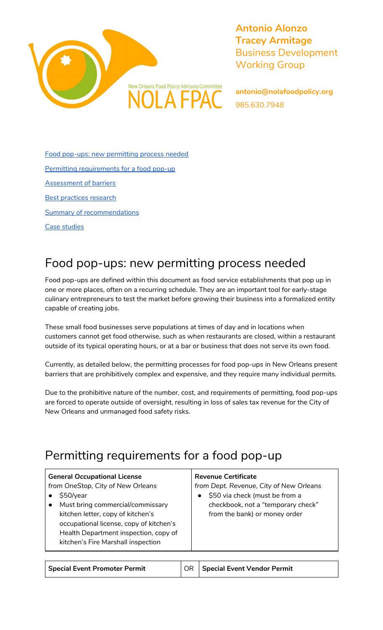

**Antonio Alonzo Tracey Armitage** Business Development Working Group

**antonio@nolafoodpolicy.org** 985.630.7948

Food pop-ups: new [permitting](#page-0-0) process needed Permitting [requirements](#page-0-1) for a food pop-up [Assessment](#page-1-0) of barriers Best [practices](#page-1-1) research **Summary of [recommendations](#page-2-0)** Case [studies](#page-2-1)

# <span id="page-0-0"></span>Food pop-ups: new permitting process needed

Food pop-ups are defined within this document as food service establishments that pop up in one or more places, often on a recurring schedule. They are an important tool for early-stage culinary entrepreneurs to test the market before growing their business into a formalized entity capable of creating jobs.

These small food businesses serve populations at times of day and in locations when customers cannot get food otherwise, such as when restaurants are closed, within a restaurant outside of its typical operating hours, or at a bar or business that does not serve its own food.

Currently, as detailed below, the permitting processes for food pop-ups in New Orleans present barriers that are prohibitively complex and expensive, and they require many individual permits.

Due to the prohibitive nature of the number, cost, and requirements of permitting, food pop-ups are forced to operate outside of oversight, resulting in loss of sales tax revenue for the City of New Orleans and unmanaged food safety risks.

# <span id="page-0-1"></span>Permitting requirements for a food pop-up

| <b>General Occupational License</b><br>from OneStop, City of New Orleans<br>\$50/year<br>Must bring commercial/commissary<br>kitchen letter, copy of kitchen's<br>occupational license, copy of kitchen's<br>Health Department inspection, copy of | <b>Revenue Certificate</b><br>from Dept. Revenue, City of New Orleans<br>\$50 via check (must be from a<br>$\bullet$<br>checkbook, not a "temporary check"<br>from the bank) or money order |
|----------------------------------------------------------------------------------------------------------------------------------------------------------------------------------------------------------------------------------------------------|---------------------------------------------------------------------------------------------------------------------------------------------------------------------------------------------|
| kitchen's Fire Marshall inspection                                                                                                                                                                                                                 |                                                                                                                                                                                             |

| <b>Special Event Promoter Permit</b> |  | <b>OR Special Event Vendor Permit</b> |
|--------------------------------------|--|---------------------------------------|
|--------------------------------------|--|---------------------------------------|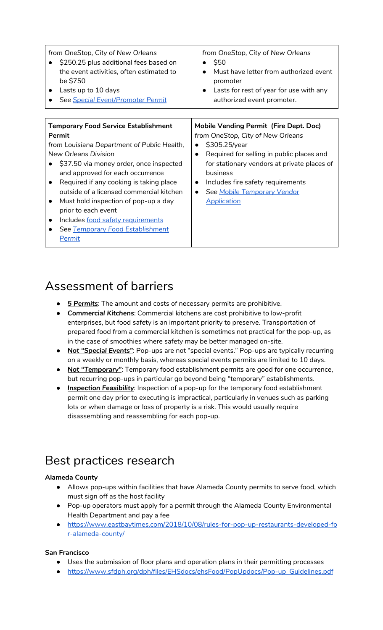| from OneStop, City of New Orleans<br>\$250.25 plus additional fees based on<br>the event activities, often estimated to<br>be \$750<br>Lasts up to 10 days<br>$\bullet$<br>See Special Event/Promoter Permit                                                                                                                                                                                                                                                                                | from OneStop, City of New Orleans<br>\$50<br>Must have letter from authorized event<br>promoter<br>Lasts for rest of year for use with any<br>authorized event promoter.                                                                                                                                           |
|---------------------------------------------------------------------------------------------------------------------------------------------------------------------------------------------------------------------------------------------------------------------------------------------------------------------------------------------------------------------------------------------------------------------------------------------------------------------------------------------|--------------------------------------------------------------------------------------------------------------------------------------------------------------------------------------------------------------------------------------------------------------------------------------------------------------------|
|                                                                                                                                                                                                                                                                                                                                                                                                                                                                                             |                                                                                                                                                                                                                                                                                                                    |
| <b>Temporary Food Service Establishment</b><br>Permit<br>from Louisiana Department of Public Health,<br>New Orleans Division<br>\$37.50 via money order, once inspected<br>and approved for each occurrence<br>Required if any cooking is taking place<br>$\bullet$<br>outside of a licensed commercial kitchen<br>Must hold inspection of pop-up a day<br>$\bullet$<br>prior to each event<br>Includes food safety requirements<br>$\bullet$<br>See Temporary Food Establishment<br>Permit | <b>Mobile Vending Permit (Fire Dept. Doc)</b><br>from OneStop, City of New Orleans<br>\$305.25/year<br>Required for selling in public places and<br>for stationary vendors at private places of<br>business<br>Includes fire safety requirements<br>$\bullet$<br>See Mobile Temporary Vendor<br><b>Application</b> |

### <span id="page-1-0"></span>Assessment of barriers

- *5 Permits*: The amount and costs of necessary permits are prohibitive.
- *Commercial Kitchens*: Commercial kitchens are cost prohibitive to low-profit enterprises, but food safety is an important priority to preserve. Transportation of prepared food from a commercial kitchen is sometimes not practical for the pop-up, as in the case of smoothies where safety may be better managed on-site.
- *Not "Special Events"*: Pop-ups are not "special events." Pop-ups are typically recurring on a weekly or monthly basis, whereas special events permits are limited to 10 days.
- *Not "Temporary"*: Temporary food establishment permits are good for one occurrence, but recurring pop-ups in particular go beyond being "temporary" establishments.
- *● Inspection Feasibility*: Inspection of a pop-up for the temporary food establishment permit one day prior to executing is impractical, particularly in venues such as parking lots or when damage or loss of property is a risk. This would usually require disassembling and reassembling for each pop-up.

## <span id="page-1-1"></span>Best practices research

### **Alameda County**

- Allows pop-ups within facilities that have Alameda County permits to serve food, which must sign off as the host facility
- Pop-up operators must apply for a permit through the Alameda County Environmental Health Department and pay a fee
- [https://www.eastbaytimes.com/2018/10/08/rules-for-pop-up-restaurants-developed-fo](https://www.eastbaytimes.com/2018/10/08/rules-for-pop-up-restaurants-developed-for-alameda-county/) [r-alameda-county/](https://www.eastbaytimes.com/2018/10/08/rules-for-pop-up-restaurants-developed-for-alameda-county/)

### **San Francisco**

- Uses the submission of floor plans and operation plans in their permitting processes
- [https://www.sfdph.org/dph/files/EHSdocs/ehsFood/PopUpdocs/Pop-up\\_Guidelines.pdf](https://www.sfdph.org/dph/files/EHSdocs/ehsFood/PopUpdocs/Pop-up_Guidelines.pdf)